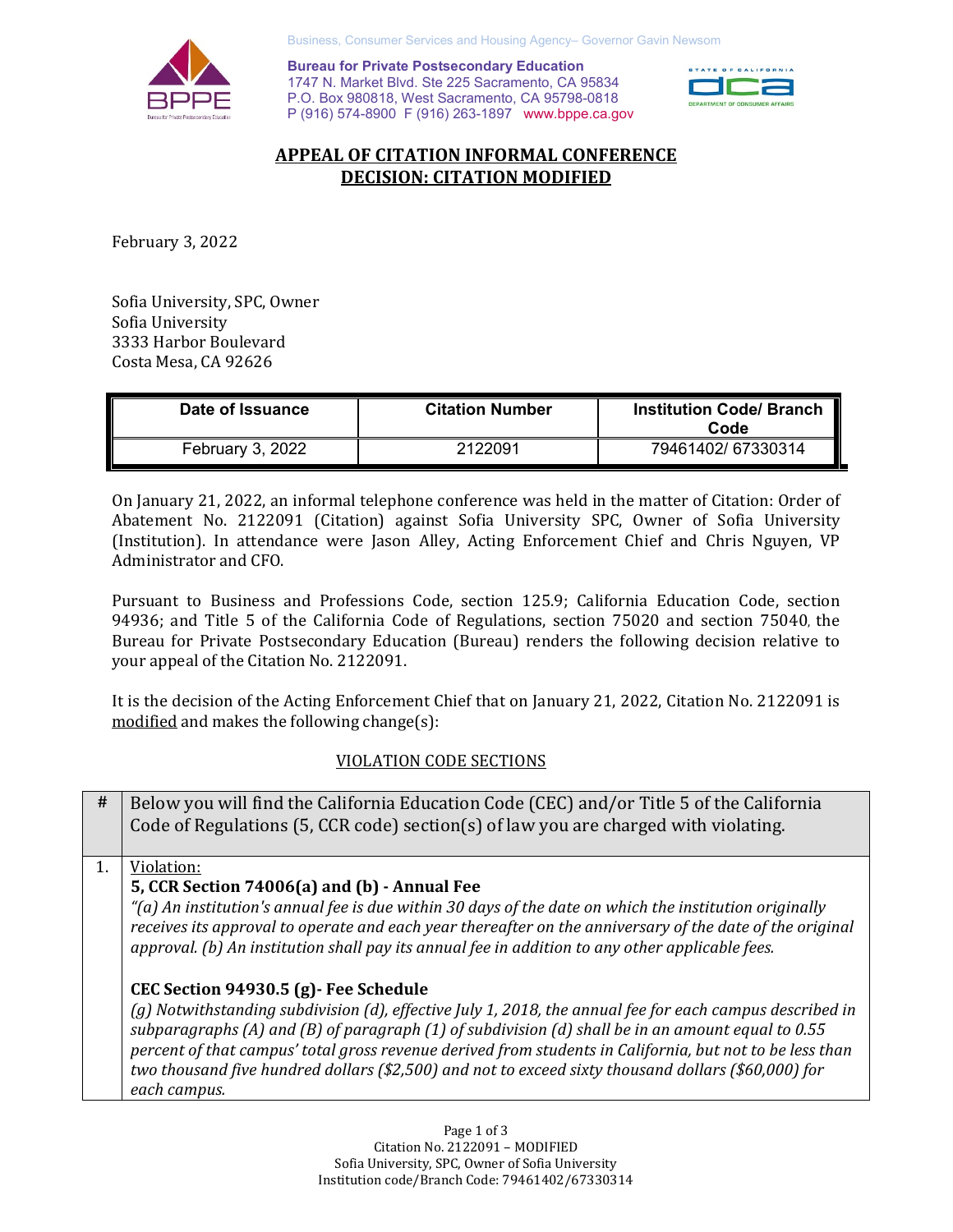

Business, Consumer Services and Housing Agency– Governor Gavin Newsom

**Bureau for Private Postsecondary Education** 1747 N. Market Blvd. Ste 225 Sacramento, CA 95834 P.O. Box 980818, West Sacramento, CA 95798-0818 P (916) 574-8900 F (916) 263-1897 www.bppe.ca.gov



# **APPEAL OF CITATION INFORMAL CONFERENCE DECISION: CITATION MODIFIED**

February 3, 2022

Sofia University, SPC, Owner Sofia University 3333 Harbor Boulevard Costa Mesa, CA 92626

| Date of Issuance | <b>Citation Number</b> | <b>Institution Code/ Branch</b><br>Code |
|------------------|------------------------|-----------------------------------------|
| February 3, 2022 | 2122091                | 79461402/67330314                       |

On January 21, 2022, an informal telephone conference was held in the matter of Citation: Order of Abatement No. 2122091 (Citation) against Sofia University SPC, Owner of Sofia University (Institution). In attendance were Jason Alley, Acting Enforcement Chief and Chris Nguyen, VP Administrator and CFO.

Pursuant to Business and Professions Code, section 125.9; California Education Code, section 94936; and Title 5 of the California Code of Regulations, section 75020 and section 75040, the Bureau for Private Postsecondary Education (Bureau) renders the following decision relative to your appeal of the Citation No. 2122091.

It is the decision of the Acting Enforcement Chief that on January 21, 2022, Citation No. 2122091 is modified and makes the following change(s):

## VIOLATION CODE SECTIONS

| #  | Below you will find the California Education Code (CEC) and/or Title 5 of the California<br>Code of Regulations (5, CCR code) section(s) of law you are charged with violating.                                                                                                                                                                                                                                                  |
|----|----------------------------------------------------------------------------------------------------------------------------------------------------------------------------------------------------------------------------------------------------------------------------------------------------------------------------------------------------------------------------------------------------------------------------------|
| 1. | Violation:                                                                                                                                                                                                                                                                                                                                                                                                                       |
|    | 5, CCR Section 74006(a) and (b) - Annual Fee                                                                                                                                                                                                                                                                                                                                                                                     |
|    | "(a) An institution's annual fee is due within 30 days of the date on which the institution originally<br>receives its approval to operate and each year thereafter on the anniversary of the date of the original<br>approval. (b) An institution shall pay its annual fee in addition to any other applicable fees.                                                                                                            |
|    | CEC Section 94930.5 (g) - Fee Schedule                                                                                                                                                                                                                                                                                                                                                                                           |
|    | (g) Notwithstanding subdivision (d), effective July 1, 2018, the annual fee for each campus described in<br>subparagraphs (A) and (B) of paragraph (1) of subdivision (d) shall be in an amount equal to 0.55<br>percent of that campus' total gross revenue derived from students in California, but not to be less than<br>two thousand five hundred dollars (\$2,500) and not to exceed sixty thousand dollars (\$60,000) for |
|    | each campus.                                                                                                                                                                                                                                                                                                                                                                                                                     |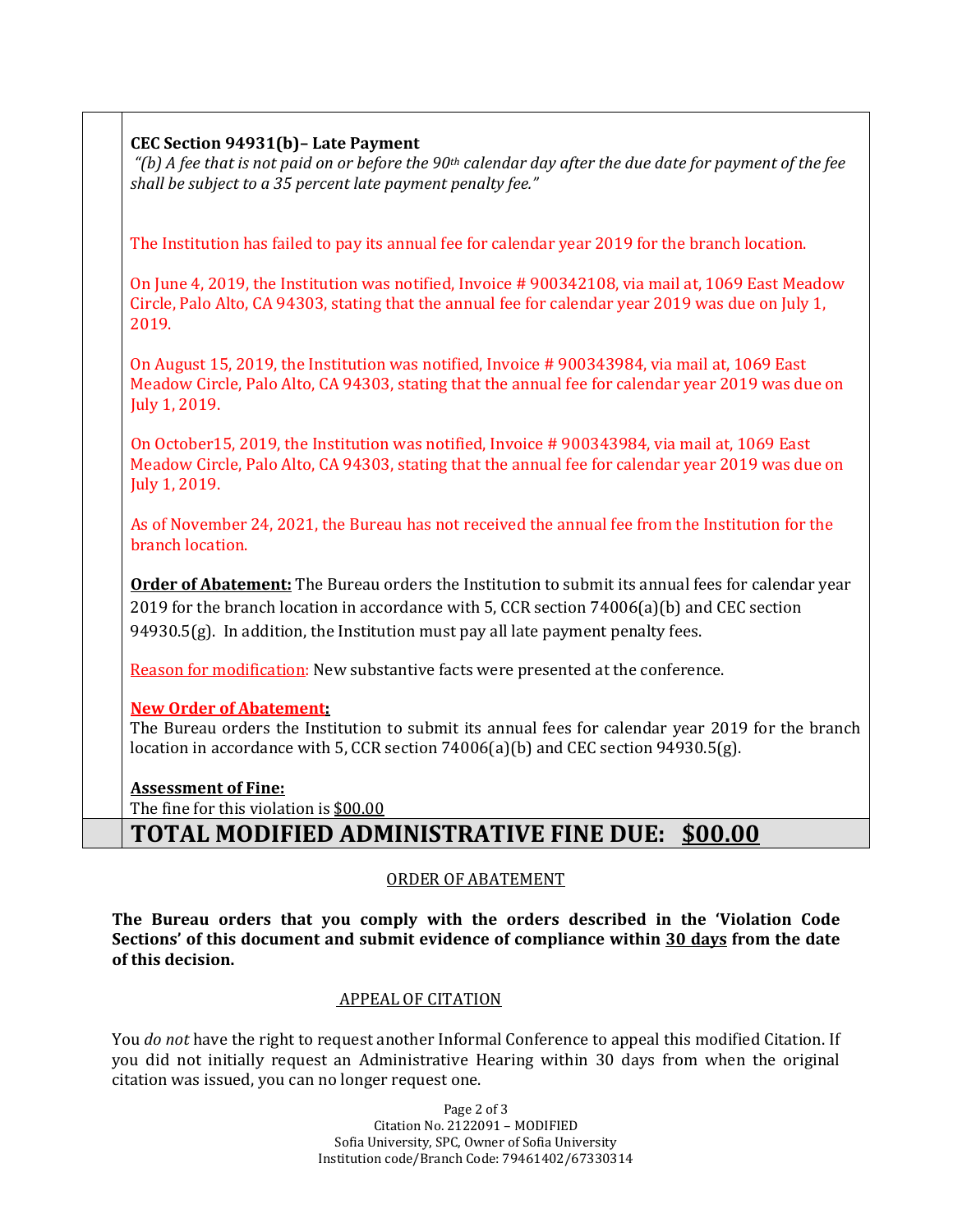## **CEC Section 94931(b)– Late Payment**

*"(b) A fee that is not paid on or before the 90th calendar day after the due date for payment of the fee shall be subject to a 35 percent late payment penalty fee."* 

The Institution has failed to pay its annual fee for calendar year 2019 for the branch location.

On June 4, 2019, the Institution was notified, Invoice # 900342108, via mail at, 1069 East Meadow Circle, Palo Alto, CA 94303, stating that the annual fee for calendar year 2019 was due on July 1, 2019.

On August 15, 2019, the Institution was notified, Invoice # 900343984, via mail at, 1069 East Meadow Circle, Palo Alto, CA 94303, stating that the annual fee for calendar year 2019 was due on July 1, 2019.

On October15, 2019, the Institution was notified, Invoice # 900343984, via mail at, 1069 East Meadow Circle, Palo Alto, CA 94303, stating that the annual fee for calendar year 2019 was due on July 1, 2019.

As of November 24, 2021, the Bureau has not received the annual fee from the Institution for the branch location.

**Order of Abatement:** The Bureau orders the Institution to submit its annual fees for calendar year 2019 for the branch location in accordance with 5, CCR section 74006(a)(b) and CEC section  $94930.5(g)$ . In addition, the Institution must pay all late payment penalty fees.

Reason for modification: New substantive facts were presented at the conference.

## **New Order of Abatement:**

The Bureau orders the Institution to submit its annual fees for calendar year 2019 for the branch location in accordance with 5, CCR section 74006(a)(b) and CEC section 94930.5(g).

## **Assessment of Fine:**

The fine for this violation is \$00.00

# **TOTAL MODIFIED ADMINISTRATIVE FINE DUE: \$00.00**

### ORDER OF ABATEMENT

**The Bureau orders that you comply with the orders described in the 'Violation Code Sections' of this document and submit evidence of compliance within 30 days from the date of this decision.**

## APPEAL OF CITATION

You *do not* have the right to request another Informal Conference to appeal this modified Citation. If you did not initially request an Administrative Hearing within 30 days from when the original citation was issued, you can no longer request one.